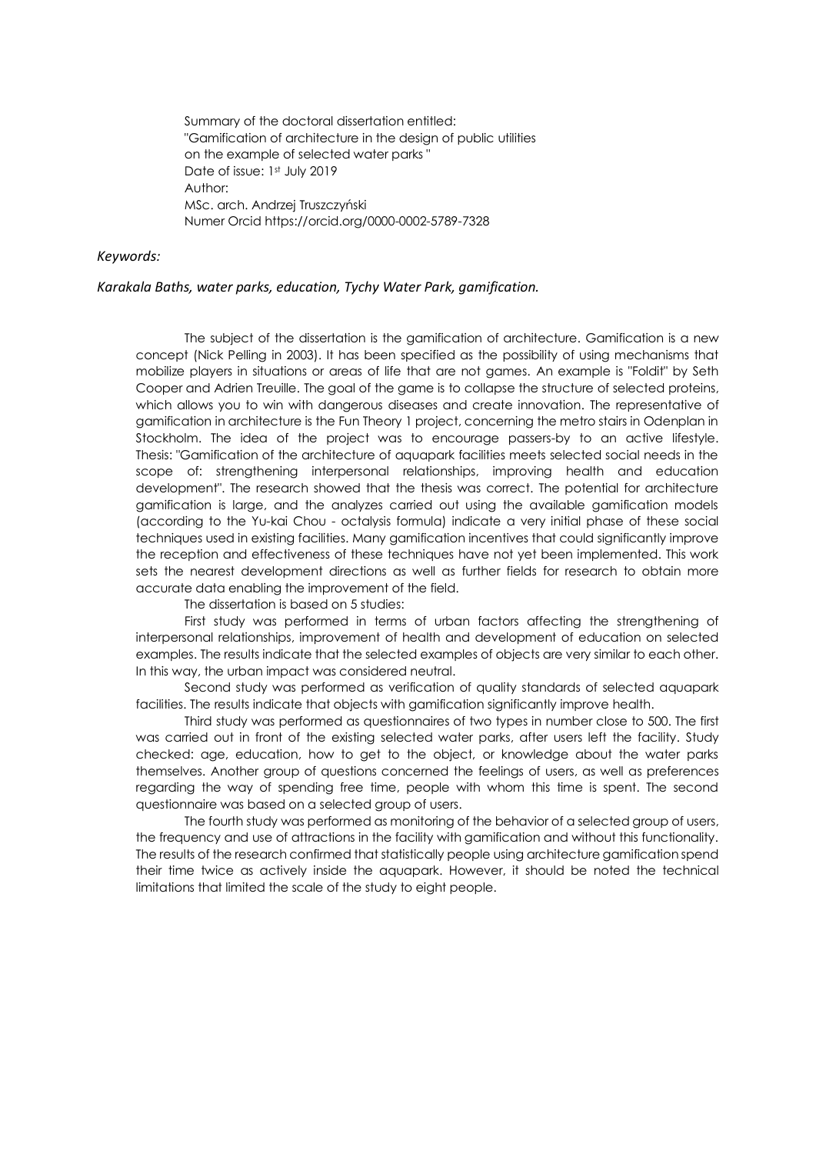Summary of the doctoral dissertation entitled: "Gamification of architecture in the design of public utilities on the example of selected water parks " Date of issue: 1st July 2019 Author: MSc. arch. Andrzej Truszczyński Numer Orcid https:/[/orcid.org/0000-0002-5789-7328](http://orcid.org/0000-0002-5789-7328) 

## *Keywords:*

## *Karakala Baths, water parks, education, Tychy Water Park, gamification.*

The subject of the dissertation is the gamification of architecture. Gamification is a new concept (Nick Pelling in 2003). It has been specified as the possibility of using mechanisms that mobilize players in situations or areas of life that are not games. An example is "Foldit" by Seth Cooper and Adrien Treuille. The goal of the game is to collapse the structure of selected proteins, which allows you to win with dangerous diseases and create innovation. The representative of gamification in architecture is the Fun Theory 1 project, concerning the metro stairs in Odenplan in Stockholm. The idea of the project was to encourage passers-by to an active lifestyle. Thesis: "Gamification of the architecture of aquapark facilities meets selected social needs in the scope of: strengthening interpersonal relationships, improving health and education development". The research showed that the thesis was correct. The potential for architecture gamification is large, and the analyzes carried out using the available gamification models (according to the Yu-kai Chou - octalysis formula) indicate a very initial phase of these social techniques used in existing facilities. Many gamification incentives that could significantly improve the reception and effectiveness of these techniques have not yet been implemented. This work sets the nearest development directions as well as further fields for research to obtain more accurate data enabling the improvement of the field.

The dissertation is based on 5 studies:

First study was performed in terms of urban factors affecting the strengthening of interpersonal relationships, improvement of health and development of education on selected examples. The results indicate that the selected examples of objects are very similar to each other. In this way, the urban impact was considered neutral.

Second study was performed as verification of quality standards of selected aquapark facilities. The results indicate that objects with gamification significantly improve health.

Third study was performed as questionnaires of two types in number close to 500. The first was carried out in front of the existing selected water parks, after users left the facility. Study checked: age, education, how to get to the object, or knowledge about the water parks themselves. Another group of questions concerned the feelings of users, as well as preferences regarding the way of spending free time, people with whom this time is spent. The second questionnaire was based on a selected group of users.

The fourth study was performed as monitoring of the behavior of a selected group of users, the frequency and use of attractions in the facility with gamification and without this functionality. The results of the research confirmed that statistically people using architecture gamification spend their time twice as actively inside the aquapark. However, it should be noted the technical limitations that limited the scale of the study to eight people.